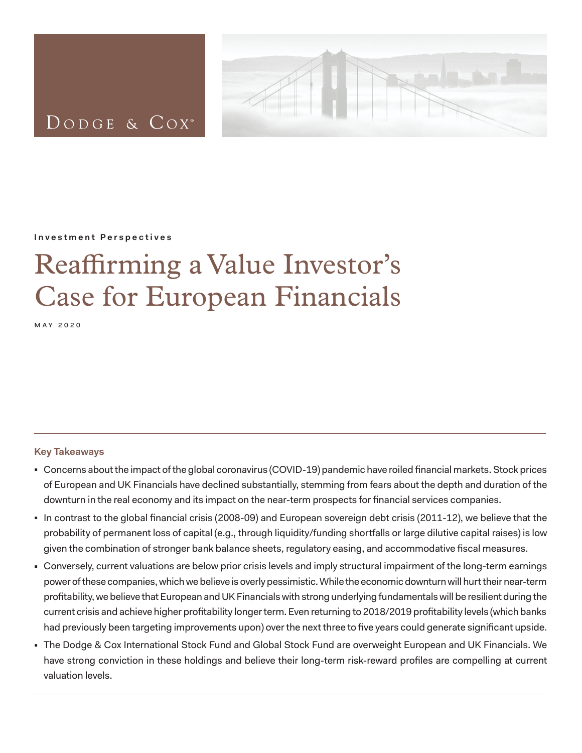

# DODGE & COX<sup>®</sup>

#### **Investment Perspectives**

# Reaffirming a Value Investor's Case for European Financials

may 2020

# **Key Takeaways**

- <sup>◼</sup> Concerns about the impact of the global coronavirus (COVID-19) pandemic have roiled financial markets. Stock prices of European and UK Financials have declined substantially, stemming from fears about the depth and duration of the downturn in the real economy and its impact on the near-term prospects for financial services companies.
- In contrast to the global financial crisis (2008-09) and European sovereign debt crisis (2011-12), we believe that the probability of permanent loss of capital (e.g., through liquidity/funding shortfalls or large dilutive capital raises) is low given the combination of stronger bank balance sheets, regulatory easing, and accommodative fiscal measures.
- Conversely, current valuations are below prior crisis levels and imply structural impairment of the long-term earnings power of these companies, which we believe is overly pessimistic. While the economic downturn will hurt their near-term profitability, we believe that European and UK Financials with strong underlying fundamentals will be resilient during the current crisis and achieve higher profitability longer term. Even returning to 2018/2019 profitability levels (which banks had previously been targeting improvements upon) over the next three to five years could generate significant upside.
- The Dodge & Cox International Stock Fund and Global Stock Fund are overweight European and UK Financials. We have strong conviction in these holdings and believe their long-term risk-reward profiles are compelling at current valuation levels.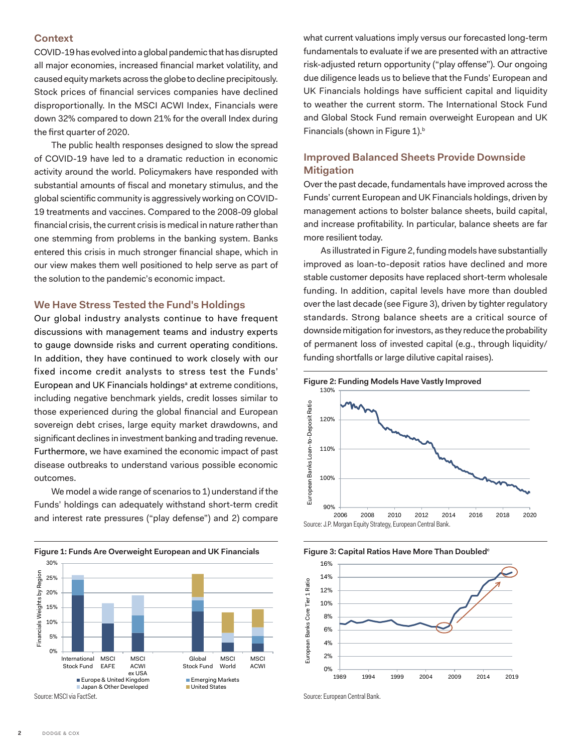#### <span id="page-1-0"></span>**Context**

COVID-19 has evolved into a global pandemic that has disrupted all major economies, increased financial market volatility, and caused equity markets across the globe to decline precipitously. Stock prices of financial services companies have declined disproportionally. In the MSCI ACWI Index, Financials were down 32% compared to down 21% for the overall Index during the first quarter of 2020.

The public health responses designed to slow the spread of COVID-19 have led to a dramatic reduction in economic activity around the world. Policymakers have responded with substantial amounts of fiscal and monetary stimulus, and the global scientific community is aggressively working on COVID-19 treatments and vaccines. Compared to the 2008-09 global financial crisis, the current crisis is medical in nature rather than one stemming from problems in the banking system. Banks entered this crisis in much stronger financial shape, which in our view makes them well positioned to help serve as part of the solution to the pandemic's economic impact.

#### **We Have Stress Tested the Fund's Holdings**

Our global industry analysts continue to have frequent discussions with management teams and industry experts to gauge downside risks and current operating conditions. In addition, they have continued to work closely with our fixed income credit analysts to stress test the Funds' Europe[a](#page-4-0)n and UK Financials holdings<sup>a</sup> at extreme conditions, including negative benchmark yields, credit losses similar to those experienced during the global financial and European sovereign debt crises, large equity market drawdowns, and significant declines in investment banking and trading revenue. Furthermore, we have examined the economic impact of past disease outbreaks to understand various possible economic outcomes.

We model a wide range of scenarios to 1) understand if the Funds' holdings can adequately withstand short-term credit and interest rate pressures ("play defense") and 2) compare



Source: MSCI via FactSet.

what current valuations imply versus our forecasted long-term fundamentals to evaluate if we are presented with an attractive risk-adjusted return opportunity ("play offense"). Our ongoing due diligence leads us to believe that the Funds' European and UK Financials holdings have sufficient capital and liquidity to weather the current storm. The International Stock Fund and Global Stock Fund remain overweight European and UK Financials (shown in Figure 1).<sup>b</sup>

# **Improved Balanced Sheets Provide Downside Mitigation**

Over the past decade, fundamentals have improved across the Funds' current European and UK Financials holdings, driven by management actions to bolster balance sheets, build capital, and increase profitability. In particular, balance sheets are far more resilient today.

As illustrated in Figure 2, funding models have substantially improved as loan-to-deposit ratios have declined and more stable customer deposits have replaced short-term wholesale funding. In addition, capital levels have more than doubled over the last decade (see Figure 3), driven by tighter regulatory standards. Strong balance sheets are a critical source of downside mitigation for investors, as they reduce the probability of permanent loss of invested capital (e.g., through liquidity/ funding shortfalls or large dilutive capital raises).



**Figure 3: Capital Ratios Have More Than Doubled<sup>c</sup>** 



Source: European Central Bank.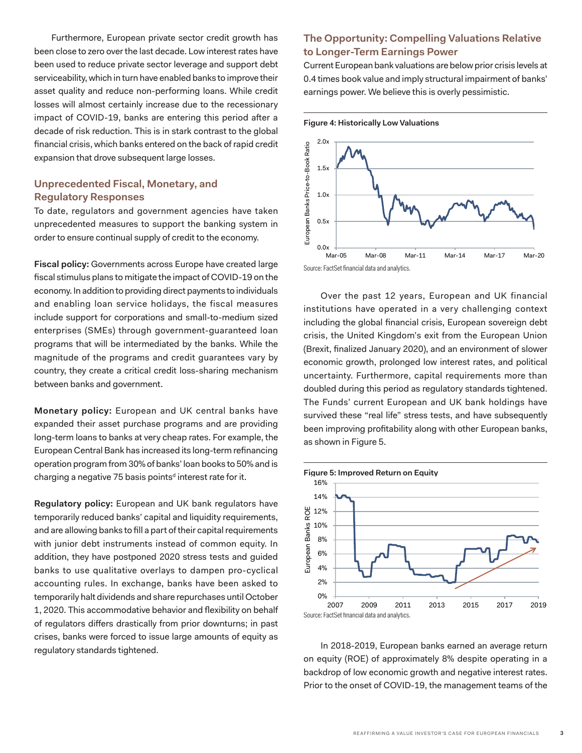Furthermore, European private sector credit growth has been close to zero over the last decade. Low interest rates have been used to reduce private sector leverage and support debt serviceability, which in turn have enabled banks to improve their asset quality and reduce non-performing loans. While credit losses will almost certainly increase due to the recessionary impact of COVID-19, banks are entering this period after a decade of risk reduction. This is in stark contrast to the global financial crisis, which banks entered on the back of rapid credit expansion that drove subsequent large losses.

# **Unprecedented Fiscal, Monetary, and Regulatory Responses**

To date, regulators and government agencies have taken unprecedented measures to support the banking system in order to ensure continual supply of credit to the economy.

**Fiscal policy:** Governments across Europe have created large fiscal stimulus plans to mitigate the impact of COVID-19 on the economy. In addition to providing direct payments to individuals and enabling loan service holidays, the fiscal measures include support for corporations and small-to-medium sized enterprises (SMEs) through government-guaranteed loan programs that will be intermediated by the banks. While the magnitude of the programs and credit guarantees vary by country, they create a critical credit loss-sharing mechanism between banks and government.

**Monetary policy:** European and UK central banks have expanded their asset purchase programs and are providing long-term loans to banks at very cheap rates. For example, the European Central Bank has increased its long-term refinancing operation program from 30% of banks' loan books to 50% and is charging a negative 75 basis points<sup>d</sup> interest rate for it.

**Regulatory policy:** European and UK bank regulators have temporarily reduced banks' capital and liquidity requirements, and are allowing banks to fill a part of their capital requirements with junior debt instruments instead of common equity. In addition, they have postponed 2020 stress tests and guided banks to use qualitative overlays to dampen pro-cyclical accounting rules. In exchange, banks have been asked to temporarily halt dividends and share repurchases until October 1, 2020. This accommodative behavior and flexibility on behalf of regulators differs drastically from prior downturns; in past crises, banks were forced to issue large amounts of equity as regulatory standards tightened.

# **The Opportunity: Compelling Valuations Relative to Longer-Term Earnings Power**

Current European bank valuations are below prior crisis levels at 0.4 times book value and imply structural impairment of banks' earnings power. We believe this is overly pessimistic.



Over the past 12 years, European and UK financial institutions have operated in a very challenging context including the global financial crisis, European sovereign debt crisis, the United Kingdom's exit from the European Union (Brexit, finalized January 2020), and an environment of slower economic growth, prolonged low interest rates, and political uncertainty. Furthermore, capital requirements more than doubled during this period as regulatory standards tightened. The Funds' current European and UK bank holdings have survived these "real life" stress tests, and have subsequently been improving profitability along with other European banks, as shown in Figure 5.



In 2018-2019, European banks earned an average return on equity (ROE) of approximately 8% despite operating in a backdrop of low economic growth and negative interest rates. Prior to the onset of COVID-19, the management teams of the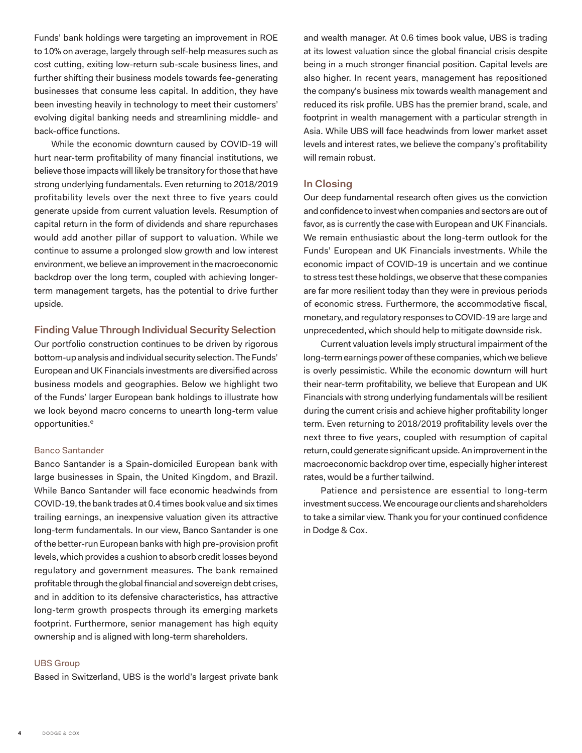Funds' bank holdings were targeting an improvement in ROE to 10% on average, largely through self-help measures such as cost cutting, exiting low-return sub-scale business lines, and further shifting their business models towards fee-generating businesses that consume less capital. In addition, they have been investing heavily in technology to meet their customers' evolving digital banking needs and streamlining middle- and back-office functions.

While the economic downturn caused by COVID-19 will hurt near-term profitability of many financial institutions, we believe those impacts will likely be transitory for those that have strong underlying fundamentals. Even returning to 2018/2019 profitability levels over the next three to five years could generate upside from current valuation levels. Resumption of capital return in the form of dividends and share repurchases would add another pillar of support to valuation. While we continue to assume a prolonged slow growth and low interest environment, we believe an improvement in the macroeconomic backdrop over the long term, coupled with achieving longerterm management targets, has the potential to drive further upside.

### **Finding Value Through Individual Security Selection**

Our portfolio construction continues to be driven by rigorous bottom-up analysis and individual security selection. The Funds' European and UK Financials investments are diversified across business models and geographies. Below we highlight two of the Funds' larger European bank holdings to illustrate how we look beyond macro concerns to unearth long-term value opportunities.<sup>e</sup>

#### Banco Santander

Banco Santander is a Spain-domiciled European bank with large businesses in Spain, the United Kingdom, and Brazil. While Banco Santander will face economic headwinds from COVID-19, the bank trades at 0.4 times book value and six times trailing earnings, an inexpensive valuation given its attractive long-term fundamentals. In our view, Banco Santander is one of the better-run European banks with high pre-provision profit levels, which provides a cushion to absorb credit losses beyond regulatory and government measures. The bank remained profitable through the global financial and sovereign debt crises, and in addition to its defensive characteristics, has attractive long-term growth prospects through its emerging markets footprint. Furthermore, senior management has high equity ownership and is aligned with long-term shareholders.

#### UBS Group

Based in Switzerland, UBS is the world's largest private bank

and wealth manager. At 0.6 times book value, UBS is trading at its lowest valuation since the global financial crisis despite being in a much stronger financial position. Capital levels are also higher. In recent years, management has repositioned the company's business mix towards wealth management and reduced its risk profile. UBS has the premier brand, scale, and footprint in wealth management with a particular strength in Asia. While UBS will face headwinds from lower market asset levels and interest rates, we believe the company's profitability will remain robust.

# **In Closing**

Our deep fundamental research often gives us the conviction and confidence to invest when companies and sectors are out of favor, as is currently the case with European and UK Financials. We remain enthusiastic about the long-term outlook for the Funds' European and UK Financials investments. While the economic impact of COVID-19 is uncertain and we continue to stress test these holdings, we observe that these companies are far more resilient today than they were in previous periods of economic stress. Furthermore, the accommodative fiscal, monetary, and regulatory responses to COVID-19 are large and unprecedented, which should help to mitigate downside risk.

Current valuation levels imply structural impairment of the long-term earnings power of these companies, which we believe is overly pessimistic. While the economic downturn will hurt their near-term profitability, we believe that European and UK Financials with strong underlying fundamentals will be resilient during the current crisis and achieve higher profitability longer term. Even returning to 2018/2019 profitability levels over the next three to five years, coupled with resumption of capital return, could generate significant upside. An improvement in the macroeconomic backdrop over time, especially higher interest rates, would be a further tailwind.

Patience and persistence are essential to long-term investment success. We encourage our clients and shareholders to take a similar view. Thank you for your continued confidence in Dodge & Cox.